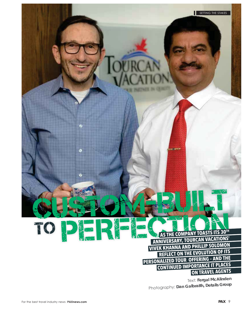AS THE COMPANY TOASTS ITS 30TH **ANNIVERSARY, TOURCAN VACATIONS' VIVEK KHANNA AND PHILLIP SOLOMON REFLECT ON THE EVOLUTION OF ITS** PERSONALIZED TOUR OFFERING - AND THE **CONTINUED IMPORTANCE IT PLACES ON TRAVEL AGENTS** 

П

SETTING THE STAKES

Text: Fergal McAlinden Photography: Dan Galbraith, Details Group

TC

Œ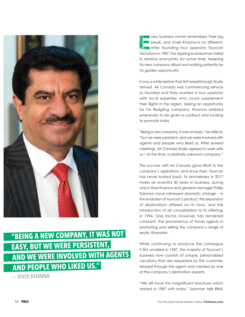

## "BEING A NEW COMPANY, IT WAS NOT **EASY, BUT WE WERE PERSISTENT,** AND WE WERE INVOLVED WITH AGENTS **AND PEOPLE WHO LIKED US."**

- VIVEK KHANNA

**very business owner remembers their big break, and Vivek Khanna is no different. 图像图 After founding tour operator Tourcan** Vacations in 1987, the aspiring businessman toiled in relative anonymity for some time, keeping his new company afloat and waiting patiently for his golden opportunity.

It was a while before that first breakthrough finally arrived. Air Canada was commencing service to Mumbai and they wanted a tour operator with local expertise who could supplement their flights in the region. Seeing an opportunity for his fledgling company, Khanna lobbied extensively to be given a contract and funding to promote India.

"Being a new company, it was not easy," he reflects, "but we were persistent, and we were involved with agents and people who liked us. After several meetings, Air Canada finally agreed to work with us – at the time, a relatively unknown company."

The success with Air Canada gave liftoff to the company's aspirations, and since then, Tourcan has never looked back. Its anniversary in 2017 marks an eventful 30 years in business, during which time Khanna and general manager Phillip Solomon have witnessed dramatic change – in the evolution of Tourcan's product, the expansion of destinations offered on its tours, and the introduction of air consolidation to its offerings in 1994. One factor, however, has remained constant: the prominence of travel agents in promoting and selling the company's range of exotic itineraries.

While continuing to produce the catalogue it first unveiled in 1987, the majority of Tourcan's business now consists of unique, personalized vacations that are requested by the customer, relayed through the agent and created by one of the company's destination experts.

"We still have this magnificent brochure which started in 1987 with India," Solomon tells *PAX*,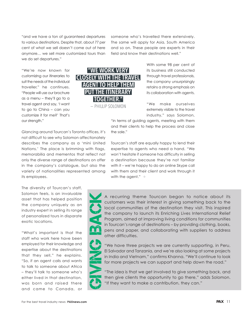"and we have a ton of guaranteed departures to various destinations. Despite that, about 77 per cent of what we sell doesn't come out of here anymore… we sell more customized tours than we do set departures."

someone who's travelled there extensively. The same will apply for Asia, South America and so on. These people are experts in their field and know their destinations well."

"We're now known for customizing our itineraries to suit the needs of the individual traveller," he continues. "People will use our brochure as a menu – they'll go to a travel agent and say, 'I want to go to China – can you customize it for me?' That's our strength."



With some 98 per cent of its business still conducted through travel professionals, the company unsurprisingly retains a strong emphasis on its collaboration with agents.

"We make ourselves extremely visible to the travel industry," says Solomon, "in terms of guiding agents, meeting with them

Glancing around Tourcan's Toronto offices, it's not difficult to see why Solomon affectionately describes the company as a 'mini United Nations.' The place is brimming with flags, memorabilia and mementos that reflect not only the diverse range of destinations on offer in the company's catalogue, but also the variety of nationalities represented among its employees. the sale."

The diversity of Tourcan's staff, Solomon feels, is an invaluable asset that has helped position the company uniquely as an industry expert in selling its range of personalized tours in disparate exotic locations.

"What's important is that the staff who work here have been employed for their knowledge and expertise about the destinations that they sell," he explains. "So, if an agent calls and wants to talk to someone about Africa – they'll talk to someone who's either lived in that destination, was born and raised there and came to Canada, or Tourcan's staff are equally happy to lend their expertise to agents who need a hand. "We won't hesitate if someone has difficulty in selling a destination because they're not familiar with it – we're happy to do an online Skype call with them and their client and work through it with the agent."  $\rightarrow$ 

and their clients to help the process and close



A recurring theme Tourcan began to notice about its customers was their interest in giving something back to the local communities of the destination they visit. This inspired the company to launch its Enriching Lives International Relief Program, aimed at improving living conditions for communities in Tourcan's range of destinations – by providing clothing, books, pens and paper, and collaborating with suppliers to address other difficulties.

"We have three projects we are currently supporting, in Peru, El Salvador and Tanzania, and we're also looking at some projects in India and Vietnam," confirms Khanna. "We'll continue to look for more projects we can support and help down the road."

"The idea is that we get involved to give something back, and then give clients the opportunity to go there," adds Solomon. "If they want to make a contribution, they can."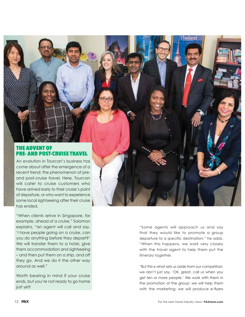

An evolution in Tourcan's business has come about after the emergence of a recent trend: the phenomenon of preand post-cruise travel. Here, Tourcan will cater to cruise customers who have arrived early to their cruise's point of departure, or who want to experience some local sightseeing after their cruise has ended.

"When clients arrive in Singapore, for example, ahead of a cruise," Solomon explains, "an agent will call and say, 'I have people going on a cruise, can you do anything before they depart?' We will transfer them to a hotel, give them accommodation and sightseeing – and then put them on a ship, and off they go. And we do it the other way around as well."

Worth bearing in mind if your cruise ends, but you're not ready to go home just yet!

"Some agents will approach us and say that they would like to promote a group departure to a specific destination," he adds. "When this happens, we work very closely with the travel agent to help them put the itinerary together.

nailano

"But this is what sets us aside from our competitors: we don't just say, 'OK, great, call us when you get ten or more people.' We work with them in the promotion of the group: we will help them with the marketing; we will produce e-flyers